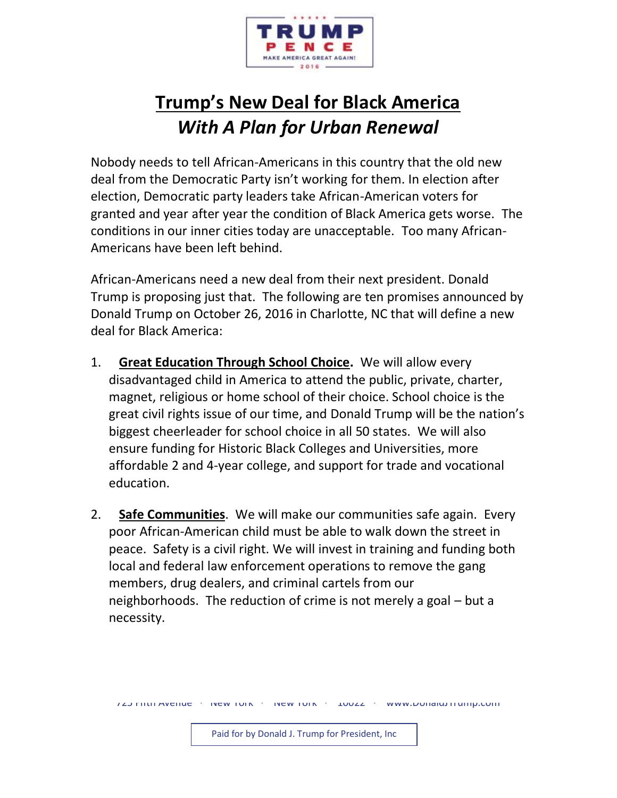

## **Trump's New Deal for Black America** *With A Plan for Urban Renewal*

Nobody needs to tell African-Americans in this country that the old new deal from the Democratic Party isn't working for them. In election after election, Democratic party leaders take African-American voters for granted and year after year the condition of Black America gets worse. The conditions in our inner cities today are unacceptable. Too many African-Americans have been left behind.

African-Americans need a new deal from their next president. Donald Trump is proposing just that. The following are ten promises announced by Donald Trump on October 26, 2016 in Charlotte, NC that will define a new deal for Black America:

- 1. **Great Education Through School Choice.** We will allow every disadvantaged child in America to attend the public, private, charter, magnet, religious or home school of their choice. School choice is the great civil rights issue of our time, and Donald Trump will be the nation's biggest cheerleader for school choice in all 50 states. We will also ensure funding for Historic Black Colleges and Universities, more affordable 2 and 4-year college, and support for trade and vocational education.
- 2. **Safe Communities**. We will make our communities safe again. Every poor African-American child must be able to walk down the street in peace. Safety is a civil right. We will invest in training and funding both local and federal law enforcement operations to remove the gang members, drug dealers, and criminal cartels from our neighborhoods. The reduction of crime is not merely a goal – but a necessity.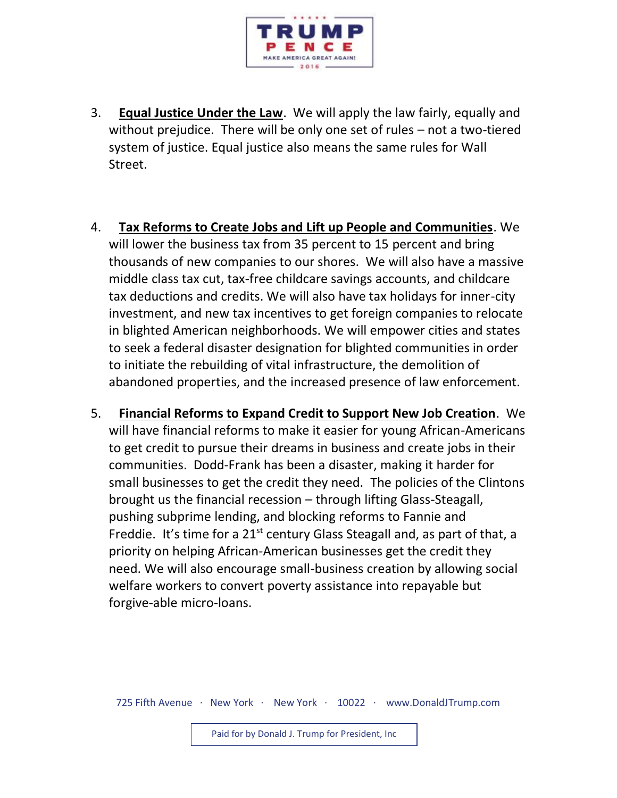

- 3. **Equal Justice Under the Law**. We will apply the law fairly, equally and without prejudice. There will be only one set of rules – not a two-tiered system of justice. Equal justice also means the same rules for Wall Street.
- 4. **Tax Reforms to Create Jobs and Lift up People and Communities**. We will lower the business tax from 35 percent to 15 percent and bring thousands of new companies to our shores. We will also have a massive middle class tax cut, tax-free childcare savings accounts, and childcare tax deductions and credits. We will also have tax holidays for inner-city investment, and new tax incentives to get foreign companies to relocate in blighted American neighborhoods. We will empower cities and states to seek a federal disaster designation for blighted communities in order to initiate the rebuilding of vital infrastructure, the demolition of abandoned properties, and the increased presence of law enforcement.
- 5. **Financial Reforms to Expand Credit to Support New Job Creation**. We will have financial reforms to make it easier for young African-Americans to get credit to pursue their dreams in business and create jobs in their communities. Dodd-Frank has been a disaster, making it harder for small businesses to get the credit they need. The policies of the Clintons brought us the financial recession – through lifting Glass-Steagall, pushing subprime lending, and blocking reforms to Fannie and Freddie. It's time for a 21<sup>st</sup> century Glass Steagall and, as part of that, a priority on helping African-American businesses get the credit they need. We will also encourage small-business creation by allowing social welfare workers to convert poverty assistance into repayable but forgive-able micro-loans.

725 Fifth Avenue · New York · New York · 10022 · www.DonaldJTrump.com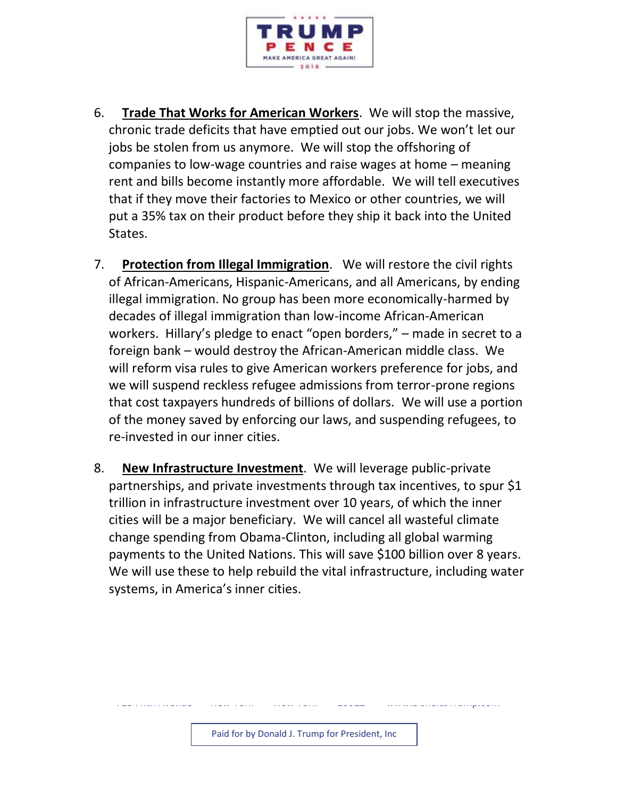

- 6. **Trade That Works for American Workers**. We will stop the massive, chronic trade deficits that have emptied out our jobs. We won't let our jobs be stolen from us anymore. We will stop the offshoring of companies to low-wage countries and raise wages at home – meaning rent and bills become instantly more affordable. We will tell executives that if they move their factories to Mexico or other countries, we will put a 35% tax on their product before they ship it back into the United States.
- 7. **Protection from Illegal Immigration**. We will restore the civil rights of African-Americans, Hispanic-Americans, and all Americans, by ending illegal immigration. No group has been more economically-harmed by decades of illegal immigration than low-income African-American workers. Hillary's pledge to enact "open borders," – made in secret to a foreign bank – would destroy the African-American middle class. We will reform visa rules to give American workers preference for jobs, and we will suspend reckless refugee admissions from terror-prone regions that cost taxpayers hundreds of billions of dollars. We will use a portion of the money saved by enforcing our laws, and suspending refugees, to re-invested in our inner cities.
- 8. **New Infrastructure Investment**. We will leverage public-private partnerships, and private investments through tax incentives, to spur \$1 trillion in infrastructure investment over 10 years, of which the inner cities will be a major beneficiary. We will cancel all wasteful climate change spending from Obama-Clinton, including all global warming payments to the United Nations. This will save \$100 billion over 8 years. We will use these to help rebuild the vital infrastructure, including water systems, in America's inner cities.

725 Fifth Avenue · New York · New York · 10022 · www.DonaldJTrump.com